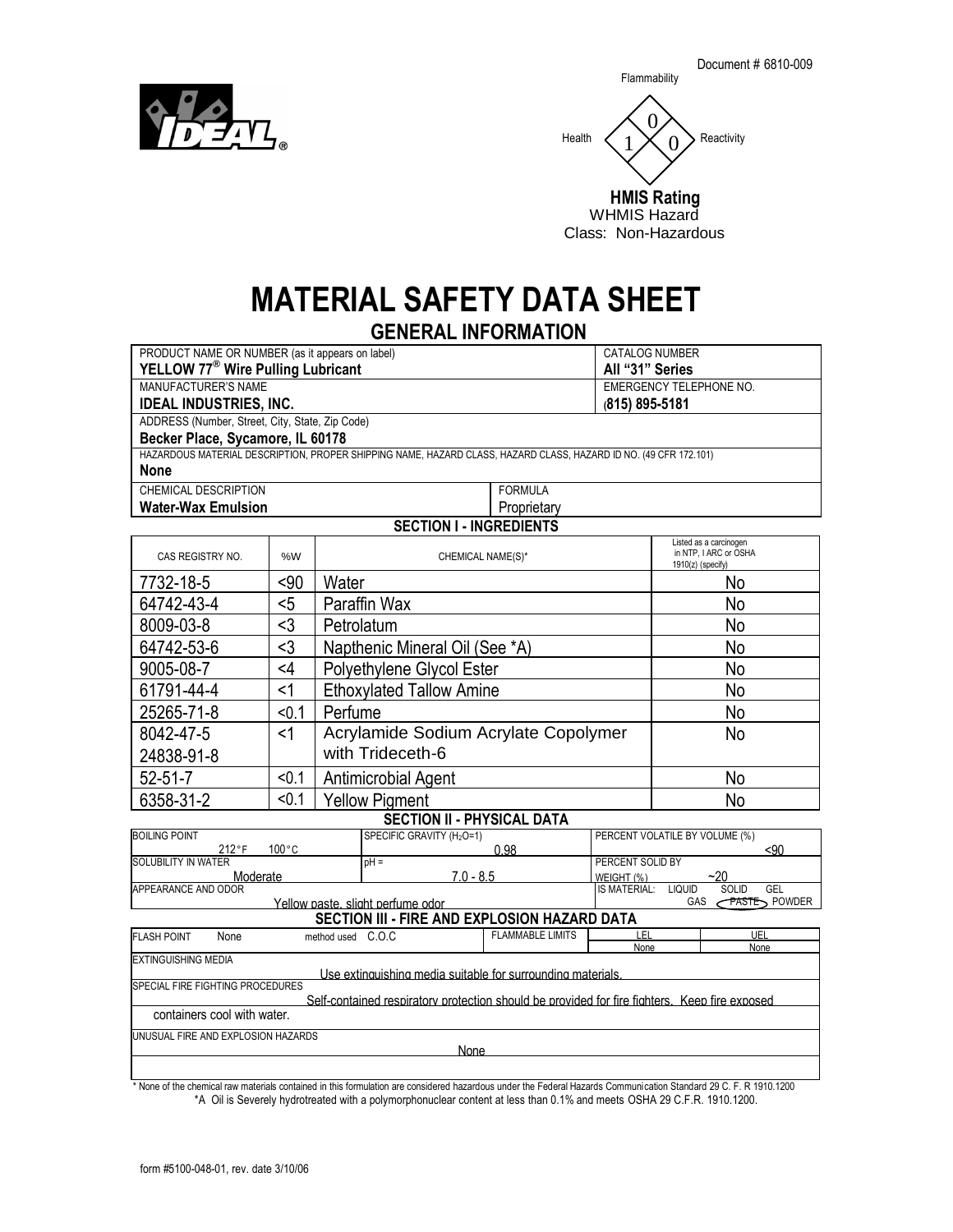

Document # 6810-009 Flammability



WHMIS Hazard Class: Non-Hazardous

## **MATERIAL SAFETY DATA SHEET**

## **GENERAL INFORMATION**

| PRODUCT NAME OR NUMBER (as it appears on label)                                                                                                      |          | <b>CATALOG NUMBER</b>                        |                         |                                    |                                                                        |                                         |  |  |  |
|------------------------------------------------------------------------------------------------------------------------------------------------------|----------|----------------------------------------------|-------------------------|------------------------------------|------------------------------------------------------------------------|-----------------------------------------|--|--|--|
| YELLOW 77 <sup>®</sup> Wire Pulling Lubricant                                                                                                        |          | All "31" Series                              |                         |                                    |                                                                        |                                         |  |  |  |
| MANUFACTURER'S NAME                                                                                                                                  |          | EMERGENCY TELEPHONE NO.                      |                         |                                    |                                                                        |                                         |  |  |  |
| <b>IDEAL INDUSTRIES, INC.</b>                                                                                                                        |          |                                              |                         |                                    |                                                                        | (815) 895-5181                          |  |  |  |
| ADDRESS (Number, Street, City, State, Zip Code)                                                                                                      |          |                                              |                         |                                    |                                                                        |                                         |  |  |  |
| Becker Place, Sycamore, IL 60178<br>HAZARDOUS MATERIAL DESCRIPTION, PROPER SHIPPING NAME, HAZARD CLASS, HAZARD CLASS, HAZARD ID NO. (49 CFR 172.101) |          |                                              |                         |                                    |                                                                        |                                         |  |  |  |
| <b>None</b>                                                                                                                                          |          |                                              |                         |                                    |                                                                        |                                         |  |  |  |
| CHEMICAL DESCRIPTION                                                                                                                                 |          |                                              |                         |                                    |                                                                        |                                         |  |  |  |
| <b>Water-Wax Emulsion</b>                                                                                                                            |          |                                              |                         |                                    |                                                                        |                                         |  |  |  |
| <b>SECTION I - INGREDIENTS</b>                                                                                                                       |          |                                              |                         |                                    |                                                                        |                                         |  |  |  |
| CAS REGISTRY NO.                                                                                                                                     | %W       | CHEMICAL NAME(S)*                            |                         |                                    | Listed as a carcinogen<br>in NTP, I ARC or OSHA<br>$1910(z)$ (specify) |                                         |  |  |  |
| 7732-18-5                                                                                                                                            | $90$     | Water                                        |                         |                                    |                                                                        | No                                      |  |  |  |
| 64742-43-4                                                                                                                                           | $5$      | Paraffin Wax                                 | <b>No</b>               |                                    |                                                                        |                                         |  |  |  |
| 8009-03-8                                                                                                                                            | $3$      | Petrolatum                                   |                         |                                    |                                                                        | No                                      |  |  |  |
| 64742-53-6                                                                                                                                           | $3$      | Napthenic Mineral Oil (See *A)               |                         |                                    |                                                                        | No                                      |  |  |  |
| 9005-08-7                                                                                                                                            | $\leq 4$ | Polyethylene Glycol Ester                    |                         | No                                 |                                                                        |                                         |  |  |  |
| 61791-44-4                                                                                                                                           | $<$ 1    | <b>Ethoxylated Tallow Amine</b><br><b>No</b> |                         |                                    |                                                                        |                                         |  |  |  |
| 25265-71-8                                                                                                                                           | < 0.1    | Perfume<br>No                                |                         |                                    |                                                                        |                                         |  |  |  |
| 8042-47-5                                                                                                                                            | $<$ 1    | Acrylamide Sodium Acrylate Copolymer<br>No   |                         |                                    |                                                                        |                                         |  |  |  |
| 24838-91-8                                                                                                                                           |          | with Trideceth-6                             |                         |                                    |                                                                        |                                         |  |  |  |
| $52 - 51 - 7$                                                                                                                                        | < 0.1    | Antimicrobial Agent<br>No                    |                         |                                    |                                                                        |                                         |  |  |  |
| 6358-31-2                                                                                                                                            | < 0.1    | <b>No</b><br><b>Yellow Pigment</b>           |                         |                                    |                                                                        |                                         |  |  |  |
|                                                                                                                                                      |          | <b>SECTION II - PHYSICAL DATA</b>            |                         |                                    |                                                                        |                                         |  |  |  |
| SPECIFIC GRAVITY (H <sub>2</sub> O=1)<br><b>BOILING POINT</b><br>$100^{\circ}$ C<br>0.98<br>$212^{\circ}$ F                                          |          |                                              |                         |                                    |                                                                        | PERCENT VOLATILE BY VOLUME (%)<br>< 90  |  |  |  |
| <b>SOLUBILITY IN WATER</b>                                                                                                                           | $pH =$   |                                              |                         |                                    | PERCENT SOLID BY                                                       |                                         |  |  |  |
| $7.0 - 8.5$<br>Moderate                                                                                                                              |          |                                              |                         | WEIGHT (%)<br>~20<br><b>LIQUID</b> |                                                                        |                                         |  |  |  |
| APPEARANCE AND ODOR<br><b>IS MATERIAL:</b><br>Yellow paste, slight perfume odor                                                                      |          |                                              |                         |                                    |                                                                        | GEL<br><b>SOLID</b><br>GAS PASTE POWDER |  |  |  |
| SECTION III - FIRE AND EXPLOSION HAZARD DATA                                                                                                         |          |                                              |                         |                                    |                                                                        |                                         |  |  |  |
| method used C.O.C.<br><b>FLASH POINT</b><br>None                                                                                                     |          |                                              | <b>FLAMMABLE LIMITS</b> | LEL                                |                                                                        | UEL                                     |  |  |  |
| None<br>None<br><b>EXTINGUISHING MEDIA</b>                                                                                                           |          |                                              |                         |                                    |                                                                        |                                         |  |  |  |
| Use extinguishing media suitable for surrounding materials<br>SPECIAL FIRE FIGHTING PROCEDURES                                                       |          |                                              |                         |                                    |                                                                        |                                         |  |  |  |
| Self-contained respiratory protection should be provided for fire fighters. Keep fire exposed                                                        |          |                                              |                         |                                    |                                                                        |                                         |  |  |  |
| containers cool with water.                                                                                                                          |          |                                              |                         |                                    |                                                                        |                                         |  |  |  |
| UNUSUAL FIRE AND EXPLOSION HAZARDS<br>None                                                                                                           |          |                                              |                         |                                    |                                                                        |                                         |  |  |  |
|                                                                                                                                                      |          |                                              |                         |                                    |                                                                        |                                         |  |  |  |

\* None of the chemical raw materials contained in this formulation are considered hazardous under the Federal Hazards Communication Standard 29 C. F. R 1910.1200 \*A Oil is Severely hydrotreated with a polymorphonuclear content at less than 0.1% and meets OSHA 29 C.F.R. 1910.1200.